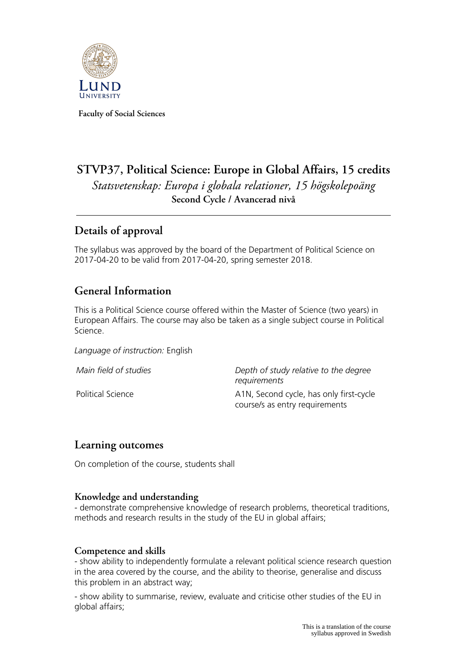

**Faculty of Social Sciences**

# **STVP37, Political Science: Europe in Global Affairs, 15 credits** *Statsvetenskap: Europa i globala relationer, 15 högskolepoäng* **Second Cycle / Avancerad nivå**

## **Details of approval**

The syllabus was approved by the board of the Department of Political Science on 2017-04-20 to be valid from 2017-04-20, spring semester 2018.

### **General Information**

This is a Political Science course offered within the Master of Science (two years) in European Affairs. The course may also be taken as a single subject course in Political Science.

*Language of instruction:* English

*Main field of studies Depth of study relative to the degree requirements* Political Science **A1N, Second cycle, has only first-cycle** course/s as entry requirements

### **Learning outcomes**

On completion of the course, students shall

#### **Knowledge and understanding**

- demonstrate comprehensive knowledge of research problems, theoretical traditions, methods and research results in the study of the EU in global affairs;

#### **Competence and skills**

- show ability to independently formulate a relevant political science research question in the area covered by the course, and the ability to theorise, generalise and discuss this problem in an abstract way;

- show ability to summarise, review, evaluate and criticise other studies of the EU in global affairs;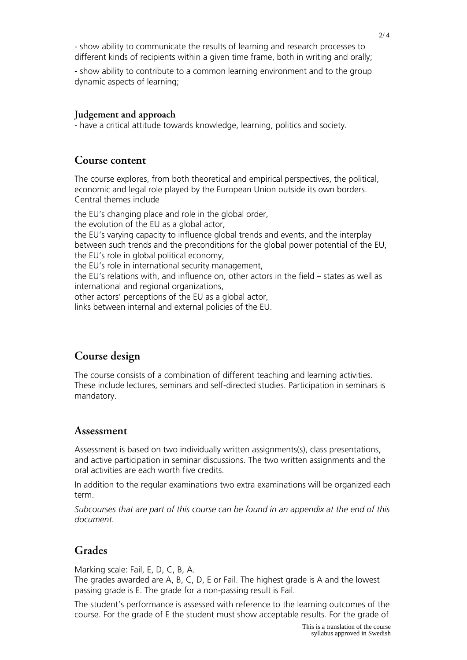- show ability to communicate the results of learning and research processes to different kinds of recipients within a given time frame, both in writing and orally;

- show ability to contribute to a common learning environment and to the group dynamic aspects of learning;

#### **Judgement and approach**

- have a critical attitude towards knowledge, learning, politics and society.

#### **Course content**

The course explores, from both theoretical and empirical perspectives, the political, economic and legal role played by the European Union outside its own borders. Central themes include

the EU's changing place and role in the global order,

the evolution of the EU as a global actor,

the EU's varying capacity to influence global trends and events, and the interplay between such trends and the preconditions for the global power potential of the EU, the EU's role in global political economy,

the EU's role in international security management,

the EU's relations with, and influence on, other actors in the field – states as well as international and regional organizations,

other actors' perceptions of the EU as a global actor,

links between internal and external policies of the EU.

## **Course design**

The course consists of a combination of different teaching and learning activities. These include lectures, seminars and self-directed studies. Participation in seminars is mandatory.

#### **Assessment**

Assessment is based on two individually written assignments(s), class presentations, and active participation in seminar discussions. The two written assignments and the oral activities are each worth five credits.

In addition to the regular examinations two extra examinations will be organized each term.

*Subcourses that are part of this course can be found in an appendix at the end of this document.*

### **Grades**

Marking scale: Fail, E, D, C, B, A.

The grades awarded are A, B, C, D, E or Fail. The highest grade is A and the lowest passing grade is E. The grade for a non-passing result is Fail.

The student's performance is assessed with reference to the learning outcomes of the course. For the grade of E the student must show acceptable results. For the grade of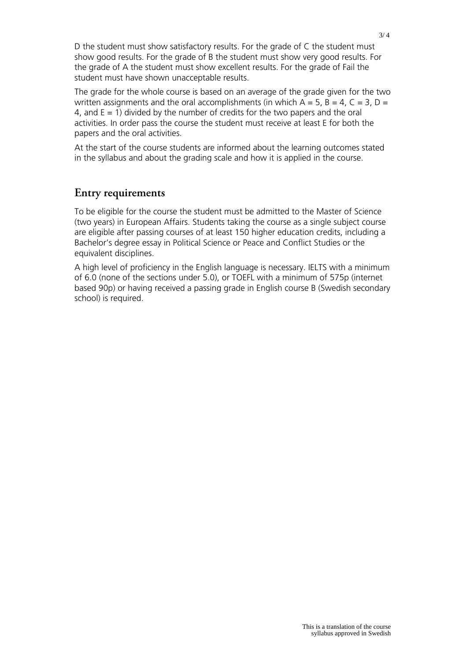D the student must show satisfactory results. For the grade of C the student must show good results. For the grade of B the student must show very good results. For the grade of A the student must show excellent results. For the grade of Fail the student must have shown unacceptable results.

The grade for the whole course is based on an average of the grade given for the two written assignments and the oral accomplishments (in which  $A = 5$ ,  $B = 4$ ,  $C = 3$ ,  $D = 1$ 4, and  $E = 1$ ) divided by the number of credits for the two papers and the oral activities. In order pass the course the student must receive at least E for both the papers and the oral activities.

At the start of the course students are informed about the learning outcomes stated in the syllabus and about the grading scale and how it is applied in the course.

### **Entry requirements**

To be eligible for the course the student must be admitted to the Master of Science (two years) in European Affairs. Students taking the course as a single subject course are eligible after passing courses of at least 150 higher education credits, including a Bachelor's degree essay in Political Science or Peace and Conflict Studies or the equivalent disciplines.

A high level of proficiency in the English language is necessary. IELTS with a minimum of 6.0 (none of the sections under 5.0), or TOEFL with a minimum of 575p (internet based 90p) or having received a passing grade in English course B (Swedish secondary school) is required.